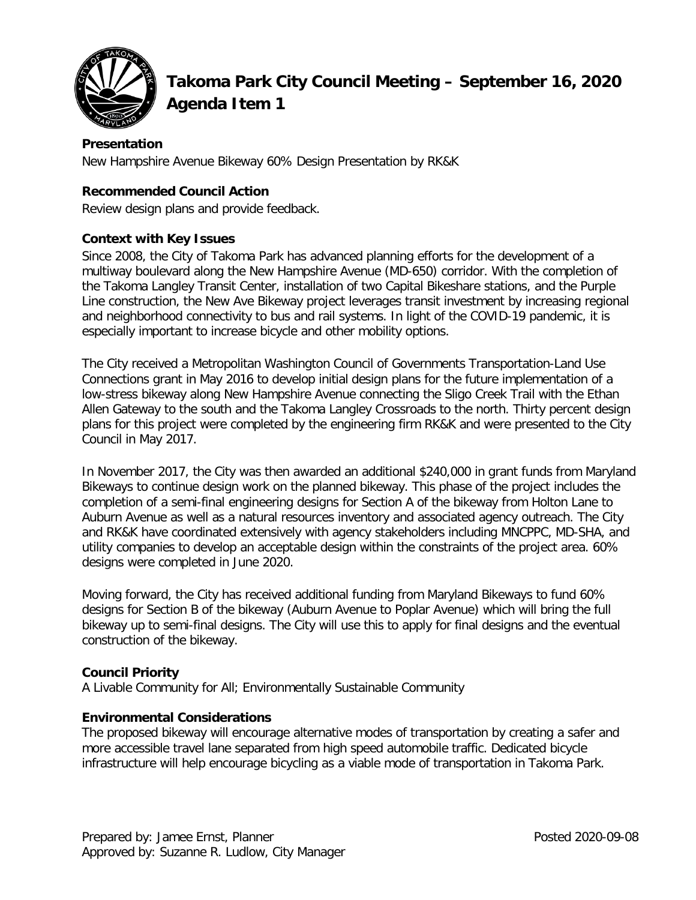

# **Takoma Park City Council Meeting – September 16, 2020 Agenda Item 1**

## **Presentation**

New Hampshire Avenue Bikeway 60% Design Presentation by RK&K

## **Recommended Council Action**

Review design plans and provide feedback.

## **Context with Key Issues**

Since 2008, the City of Takoma Park has advanced planning efforts for the development of a multiway boulevard along the New Hampshire Avenue (MD-650) corridor. With the completion of the Takoma Langley Transit Center, installation of two Capital Bikeshare stations, and the Purple Line construction, the New Ave Bikeway project leverages transit investment by increasing regional and neighborhood connectivity to bus and rail systems. In light of the COVID-19 pandemic, it is especially important to increase bicycle and other mobility options.

The City received a Metropolitan Washington Council of Governments Transportation-Land Use Connections grant in May 2016 to develop initial design plans for the future implementation of a low-stress bikeway along New Hampshire Avenue connecting the Sligo Creek Trail with the Ethan Allen Gateway to the south and the Takoma Langley Crossroads to the north. Thirty percent design plans for this project were completed by the engineering firm RK&K and were presented to the City Council in May 2017.

In November 2017, the City was then awarded an additional \$240,000 in grant funds from Maryland Bikeways to continue design work on the planned bikeway. This phase of the project includes the completion of a semi-final engineering designs for Section A of the bikeway from Holton Lane to Auburn Avenue as well as a natural resources inventory and associated agency outreach. The City and RK&K have coordinated extensively with agency stakeholders including MNCPPC, MD-SHA, and utility companies to develop an acceptable design within the constraints of the project area. 60% designs were completed in June 2020.

Moving forward, the City has received additional funding from Maryland Bikeways to fund 60% designs for Section B of the bikeway (Auburn Avenue to Poplar Avenue) which will bring the full bikeway up to semi-final designs. The City will use this to apply for final designs and the eventual construction of the bikeway.

### **Council Priority**

A Livable Community for All; Environmentally Sustainable Community

### **Environmental Considerations**

The proposed bikeway will encourage alternative modes of transportation by creating a safer and more accessible travel lane separated from high speed automobile traffic. Dedicated bicycle infrastructure will help encourage bicycling as a viable mode of transportation in Takoma Park.